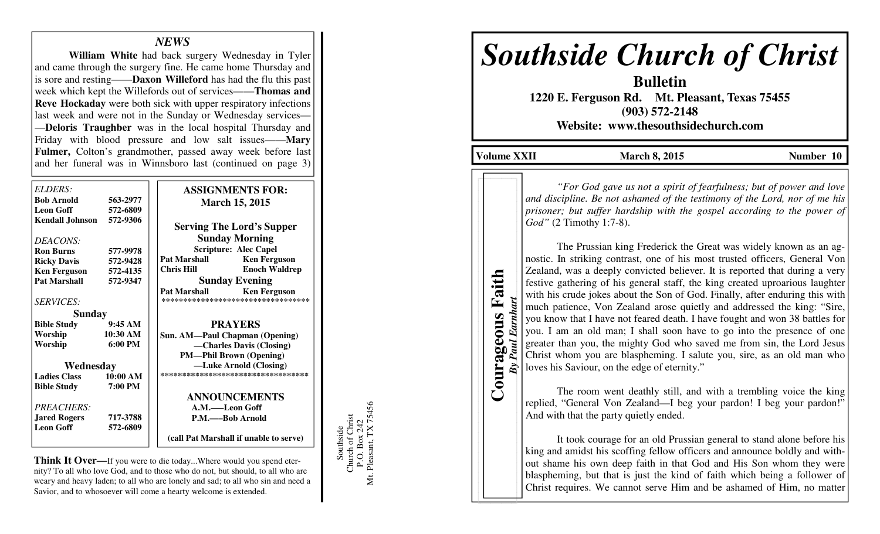# *NEWS*

 **William White** had back surgery Wednesday in Tyler and came through the surgery fine. He came home Thursday and is sore and resting——**Daxon Willeford** has had the flu this past week which kept the Willefords out of services——**Thomas and Reve Hockaday** were both sick with upper respiratory infections last week and were not in the Sunday or Wednesday services— —**Deloris Traughber** was in the local hospital Thursday and Friday with blood pressure and low salt issues——**Mary Fulmer,** Colton's grandmother, passed away week before last and her funeral was in Winnsboro last (continued on page 3)

|            | <b>ASSIGNMENTS FOR:</b>                    |
|------------|--------------------------------------------|
| 563-2977   | <b>March 15, 2015</b>                      |
| 572-6809   |                                            |
| 572-9306   | <b>Serving The Lord's Supper</b>           |
|            | <b>Sunday Morning</b>                      |
| 577-9978   | <b>Scripture: Alec Capel</b>               |
| 572-9428   | <b>Pat Marshall</b><br><b>Ken Ferguson</b> |
| 572-4135   | Chris Hill<br><b>Enoch Waldrep</b>         |
| 572-9347   | <b>Sunday Evening</b>                      |
|            | <b>Pat Marshall</b><br><b>Ken Ferguson</b> |
|            | **********************************         |
|            |                                            |
| 9:45AM     | <b>PRAYERS</b>                             |
| $10:30$ AM | Sun. AM—Paul Chapman (Opening)             |
| 6:00 PM    | -Charles Davis (Closing)                   |
|            | <b>PM—Phil Brown (Opening)</b>             |
|            | —Luke Arnold (Closing)                     |
| 10:00 AM   | ***********************************        |
| 7:00 PM    |                                            |
|            | <b>ANNOUNCEMENTS</b>                       |
|            | A.M.——Leon Goff                            |
| 717-3788   | P.M.——Bob Arnold                           |
| 572-6809   |                                            |
|            | (call Pat Marshall if unable to serve)     |
|            | Sunday<br>Wednesday                        |

**Think It Over—**If you were to die today...Where would you spend eternity? To all who love God, and to those who do not, but should, to all who are weary and heavy laden; to all who are lonely and sad; to all who sin and need a Savior, and to whosoever will come a hearty welcome is extended.

Southside<br>Church of Christ<br>P.O. Box 242<br>Mt. Pleasant, TX 75456 Mt. Pleasant, TX 75456 Church of Christ P.O. Box 242 Southside

# *Southside Church of Christ*

**Bulletin 1220 E. Ferguson Rd. Mt. Pleasant, Texas 75455 (903) 572-2148 Website: www.thesouthsidechurch.com** 

**Volume XXII March 8, 2015** Number 10

**Courageous Faith**  Courageous Faith *By Paul Earnhart* **By Paul Earnhart** 

*"For God gave us not a spirit of fearfulness; but of power and love and discipline. Be not ashamed of the testimony of the Lord, nor of me his prisoner; but suffer hardship with the gospel according to the power of God"* (2 Timothy 1:7-8).

 The Prussian king Frederick the Great was widely known as an agnostic. In striking contrast, one of his most trusted officers, General Von Zealand, was a deeply convicted believer. It is reported that during a very festive gathering of his general staff, the king created uproarious laughter with his crude jokes about the Son of God. Finally, after enduring this with much patience, Von Zealand arose quietly and addressed the king: "Sire, you know that I have not feared death. I have fought and won 38 battles for you. I am an old man; I shall soon have to go into the presence of one greater than you, the mighty God who saved me from sin, the Lord Jesus Christ whom you are blaspheming. I salute you, sire, as an old man who loves his Saviour, on the edge of eternity."

 The room went deathly still, and with a trembling voice the king replied, "General Von Zealand—I beg your pardon! I beg your pardon!" And with that the party quietly ended.

 It took courage for an old Prussian general to stand alone before his king and amidst his scoffing fellow officers and announce boldly and without shame his own deep faith in that God and His Son whom they were blaspheming, but that is just the kind of faith which being a follower of Christ requires. We cannot serve Him and be ashamed of Him, no matter